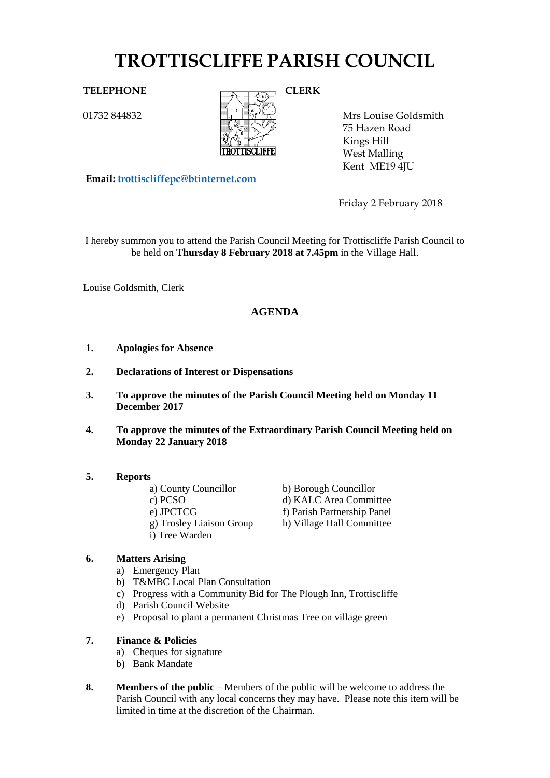# **TROTTISCLIFFE PARISH COUNCIL**

01732 844832



Mrs Louise Goldsmith 75 Hazen Road Kings Hill West Malling Kent ME19 4JU

**Email: [trottiscliffepc@btinternet.com](mailto:trottiscliffepc@btinternet.com)**

Friday 2 February 2018

I hereby summon you to attend the Parish Council Meeting for Trottiscliffe Parish Council to be held on **Thursday 8 February 2018 at 7.45pm** in the Village Hall.

Louise Goldsmith, Clerk

# **AGENDA**

- **1. Apologies for Absence**
- **2. Declarations of Interest or Dispensations**
- **3. To approve the minutes of the Parish Council Meeting held on Monday 11 December 2017**
- **4. To approve the minutes of the Extraordinary Parish Council Meeting held on Monday 22 January 2018**

## **5. Reports**

- a) County Councillor b) Borough Councillor
- 
- 
- 
- i) Tree Warden

c) PCSO d) KALC Area Committee e) JPCTCG f) Parish Partnership Panel

g) Trosley Liaison Group h) Village Hall Committee

## **6. Matters Arising**

- a) Emergency Plan
- b) T&MBC Local Plan Consultation
- c) Progress with a Community Bid for The Plough Inn, Trottiscliffe
- d) Parish Council Website
- e) Proposal to plant a permanent Christmas Tree on village green
- **7. Finance & Policies**
	- a) Cheques for signature
	- b) Bank Mandate
- **8. Members of the public** Members of the public will be welcome to address the Parish Council with any local concerns they may have. Please note this item will be limited in time at the discretion of the Chairman.